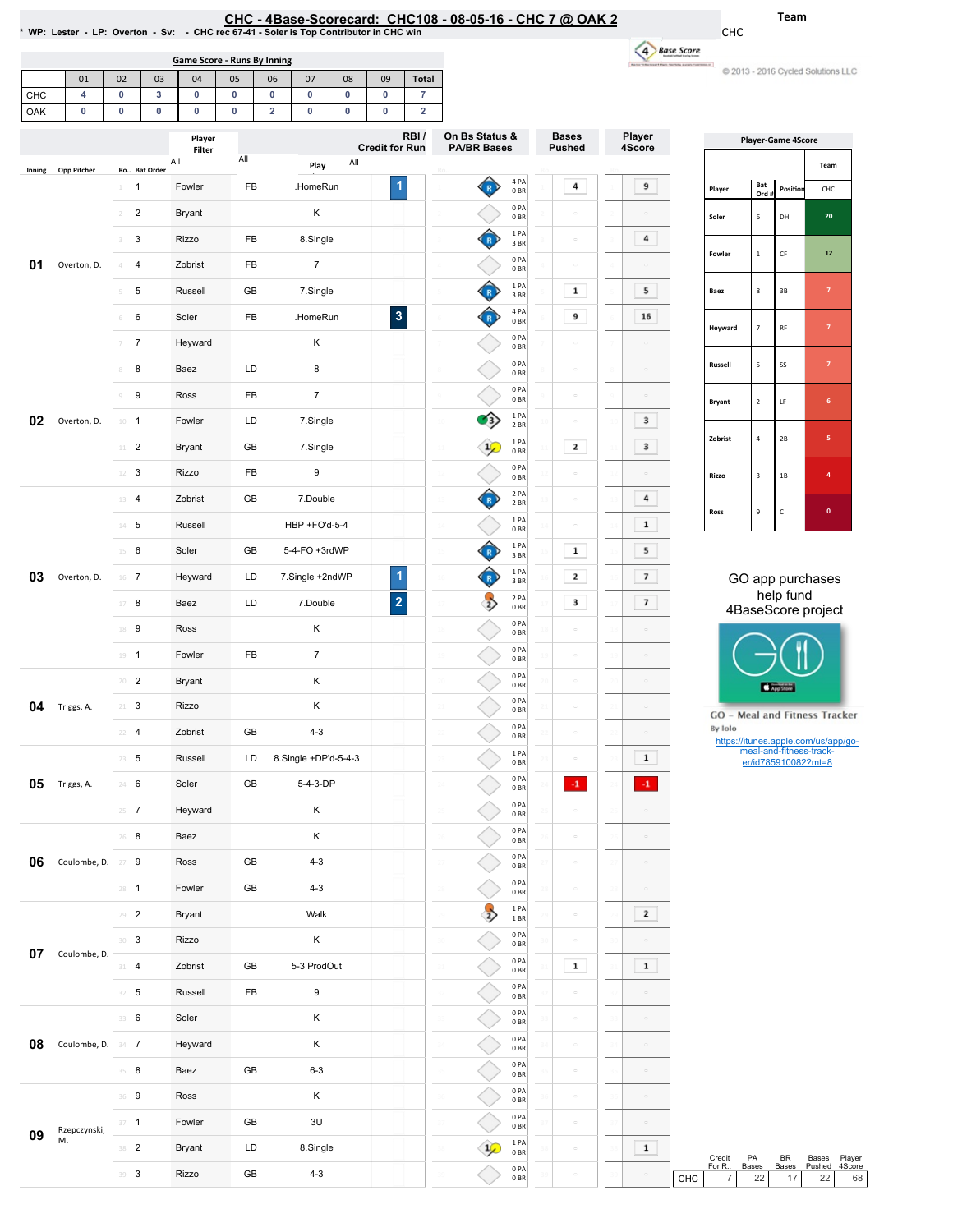|  | CHC - 4Base-Scorecard: CHC108 - 08-05-16 - CHC 7 @ OAK 2 |  |
|--|----------------------------------------------------------|--|
|--|----------------------------------------------------------|--|

Team

C 2013 - 2016 Cycled Solutions LLC

CHC

-

Ro..

Player 4Score

 $9$ 

 $\begin{array}{|c|} \hline \end{array}$ 

 $5<sub>1</sub>$ 16

 $\overline{\phantom{a}}$ 

 $\overline{\mathbf{3}}$ 

 $\overline{4}$  $\mathbf 1$ 

 $5<sub>1</sub>$  $\overline{\mathbf{z}}$  $\boxed{7}$ 

4 Base Score .<br>Main Mertima availan men

|        |                    |                                  |              | <b>Game Score - Runs By Inning</b> |           |                |                 |     |                       |                |                                      |                               |
|--------|--------------------|----------------------------------|--------------|------------------------------------|-----------|----------------|-----------------|-----|-----------------------|----------------|--------------------------------------|-------------------------------|
|        | 01                 | 02                               | 03           | 04                                 | 05        | 06             | 07              | 08  | 09                    | Total          |                                      |                               |
| CHC    | 4                  | 0                                | 3            | 0                                  | 0         | 0              | 0               | 0   | 0                     | 7              |                                      |                               |
| OAK    | 0                  | 0                                | $\mathbf{0}$ | 0                                  | 0         | $\overline{2}$ | 0               | 0   | 0                     | $\overline{2}$ |                                      |                               |
|        |                    |                                  |              | Player<br>Filter                   |           |                |                 |     | <b>Credit for Run</b> | RBI/           | On Bs Status &<br><b>PA/BR Bases</b> | <b>Bases</b><br><b>Pushed</b> |
| Inning | <b>Opp Pitcher</b> |                                  | Ro Bat Order | All                                | All       |                | Play            | All |                       |                |                                      |                               |
|        |                    | 1<br>1                           |              | Fowler                             | FB        |                | .HomeRun        |     | 1                     |                | 4 PA<br>0 <sub>BR</sub>              | 4                             |
|        |                    | $\overline{c}$<br>$\overline{2}$ |              | <b>Bryant</b>                      |           |                | Κ               |     |                       |                | 0PA<br>0 <sub>BR</sub>               |                               |
|        |                    | 3<br>3                           |              | Rizzo                              | <b>FB</b> |                | 8.Single        |     |                       |                | 1PA<br>3 BR                          |                               |
| 01     | Overton, D.        | $\overline{\mathbf{4}}$<br>4     |              | Zobrist                            | FB        |                | $\overline{7}$  |     |                       |                | 0PA<br>0 <sub>BR</sub>               | ö                             |
|        |                    | 5<br>5                           |              | Russell                            | GB        |                | 7.Single        |     |                       |                | 1PA<br>3BR                           | 1                             |
|        |                    | 6<br>$\,$ $\,$ $\,$              |              | Soler                              | FB        |                | .HomeRun        |     | 3                     |                | 4 PA<br>0 <sub>BR</sub>              | 9                             |
|        |                    | $\overline{7}$<br>7              |              | Heyward                            |           |                | K               |     |                       |                | 0PA<br>0 <sub>BR</sub>               |                               |
|        |                    | 8<br>8                           |              | Baez                               | LD        |                | 8               |     |                       |                | 0PA<br>0 <sub>BR</sub>               |                               |
|        |                    | 9<br>$\overline{9}$              |              | Ross                               | FB        |                | $\overline{7}$  |     |                       |                | 0PA<br>0 <sub>BR</sub>               |                               |
| 02     | Overton, D.        | $\overline{1}$<br>$10 -$         |              | Fowler                             | LD        |                | 7.Single        |     |                       |                | 1PA<br>2 BR                          | ö                             |
|        |                    | $\overline{2}$<br>$11\,$         |              | <b>Bryant</b>                      | GB        |                | 7.Single        |     |                       |                | 1PA<br>0 <sub>BR</sub>               | 2                             |
|        |                    | 3<br>12                          |              | Rizzo                              | <b>FB</b> |                | 9               |     |                       |                | 0PA<br>0 <sub>BR</sub>               |                               |
|        |                    | $\overline{4}$<br>13             |              | Zobrist                            | GB        |                | 7.Double        |     |                       |                | 2PA<br>2 BR                          |                               |
|        |                    | 5<br>14                          |              | Russell                            |           |                | HBP +FO'd-5-4   |     |                       |                | 1PA<br>0 <sub>BR</sub>               |                               |
|        |                    | 6<br>15                          |              | Soler                              | GB        |                | 5-4-FO +3rdWP   |     |                       |                | 1PA<br>3BR                           | $\mathbf 1$                   |
| 03     | Overton, D.        | $\overline{7}$<br>16             |              | Heyward                            | LD        |                | 7.Single +2ndWP |     | 1                     |                | 1PA<br>3BR                           | 2                             |
|        |                    | 8<br>17                          |              | Baez                               | LD        |                | 7.Double        |     | $\overline{2}$        |                | 2 PA<br>0 <sub>BR</sub>              | з                             |
|        |                    | 9<br>18                          |              | Ross                               |           |                | K               |     |                       |                | 0PA<br>0 <sub>BR</sub>               |                               |
|        |                    | $\mathbf{1}$<br>19               |              | Fowler                             | FB        |                | $\overline{7}$  |     |                       |                | 0PA<br>0 <sub>BR</sub>               |                               |
|        |                    | $\overline{2}$<br>20             |              | Bryant                             |           |                | Κ               |     |                       |                | 0PA<br>0BR                           | ö                             |
| ωv     | Triggs A           | 3<br>21                          |              | Rizzo                              |           |                | K               |     |                       |                | 0PA                                  |                               |

|                |                         | <b>Player-Game 4Score</b> |                |
|----------------|-------------------------|---------------------------|----------------|
|                |                         |                           | Team           |
| Player         | Bat<br>Ord #            | Position                  | CHC            |
| Soler          | 6                       | DH                        | 20             |
| Fowler         | $\mathbf{1}$            | CF                        | 12             |
| Baez           | 8                       | 3B                        | $\overline{z}$ |
| Heyward        | 7                       | <b>RF</b>                 | $\overline{7}$ |
| <b>Russell</b> | 5                       | SS                        | $\overline{7}$ |
| <b>Bryant</b>  | $\overline{\mathbf{c}}$ | LF                        | 6              |
| Zobrist        | 4                       | 2B                        | 5              |
| Rizzo          | 3                       | 1B                        | 4              |
| Ross           | 9                       | C                         | $\mathbf{0}$   |

#### GO app purchases help fund 4BaseScore project



| GO - Meal and Fitness Tracker<br>https://itunes.apple.com/us/app/go-<br>meal-and-fitness-track-<br>er/id785910082?mt=8 |
|------------------------------------------------------------------------------------------------------------------------|
|                                                                                                                        |
|                                                                                                                        |
|                                                                                                                        |
|                                                                                                                        |
|                                                                                                                        |
|                                                                                                                        |
|                                                                                                                        |
|                                                                                                                        |
|                                                                                                                        |
|                                                                                                                        |
|                                                                                                                        |
|                                                                                                                        |
|                                                                                                                        |
|                                                                                                                        |
|                                                                                                                        |
|                                                                                                                        |
|                                                                                                                        |
| Bases<br>Player<br>4Score                                                                                              |
| Pushed                                                                                                                 |
|                                                                                                                        |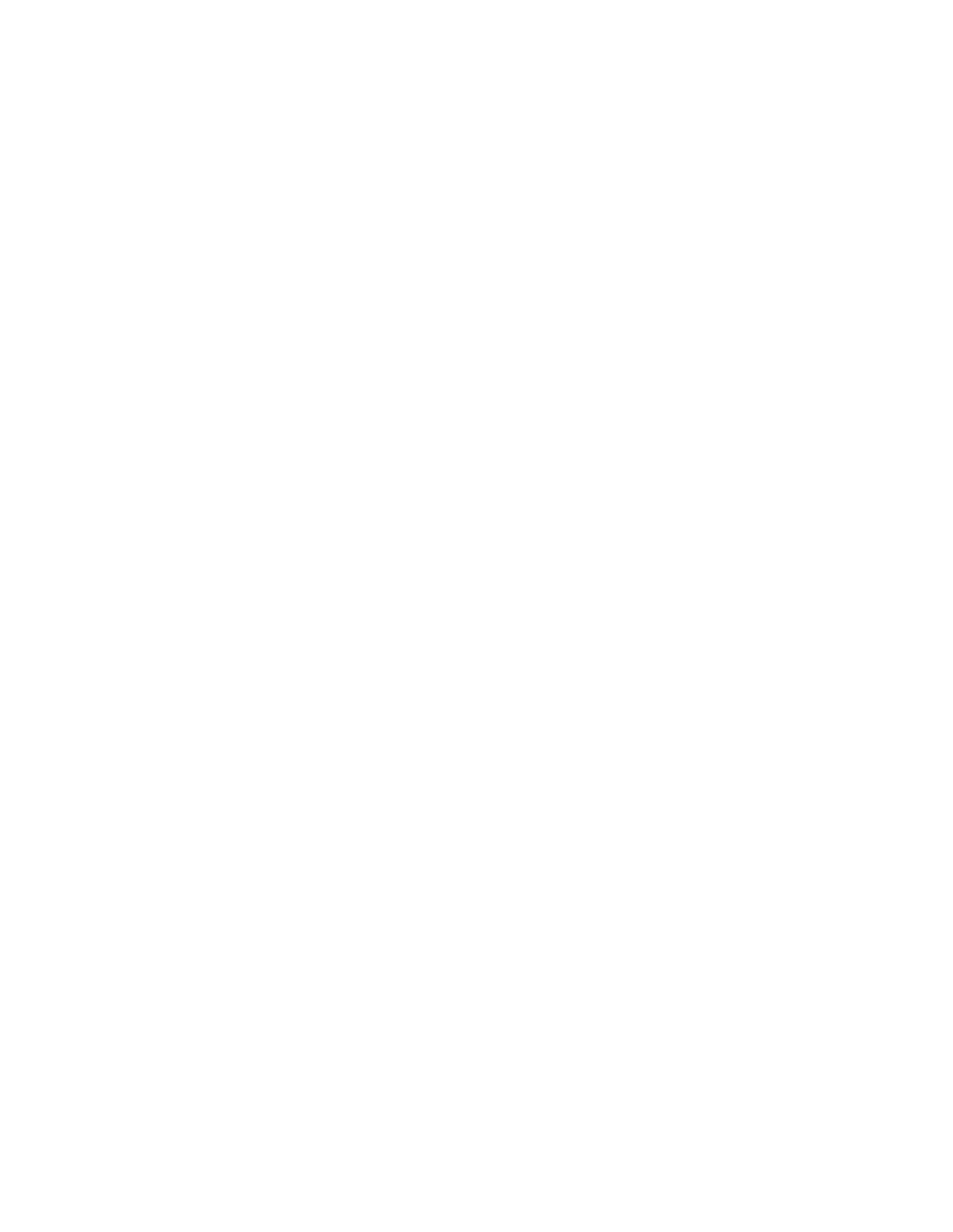|                    |                     |               |              | <u>' u ^ } Œr Zµv• C/vv]vP</u> |                      |                               |                      |                |       |                                                  |         |       |                         |                |              |                                                       |
|--------------------|---------------------|---------------|--------------|--------------------------------|----------------------|-------------------------------|----------------------|----------------|-------|--------------------------------------------------|---------|-------|-------------------------|----------------|--------------|-------------------------------------------------------|
|                    | ìí                  | ìî            | ìΪ           | ìð                             | ìñ                   | ìò<br>ìó                      | ìô                   | ìõ             | d}šo  |                                                  |         |       |                         |                |              |                                                       |
| $8 + 8$<br>$2$ \$. |                     |               |              |                                |                      |                               |                      |                |       |                                                  |         |       |                         |                |              |                                                       |
|                    |                     |               |              | Wb Ç Œ                         |                      |                               |                      | & UHGLWIRU5 XQ | $5\%$ | 2 Q%V 6 VDWXV                                    | %DVHV   | 30 MU |                         |                | WoÇŒ u ð^}Œ  |                                                       |
|                    | /vv]vP K‰W)§Z OE    |               | Z} XX ŠKOE C | &još Œ<br>$\pmb{\circledcirc}$ | $\pmb{\circledcirc}$ | WoÇ                           | $\pmb{\circledcirc}$ |                |       | 3\$ %5 %DVHV                                     | 3 XVKHG | 6FRUH |                         |                |              | d u                                                   |
|                    |                     | í.            |              | ) RZ ®IU                       | ) %                  | $+$ RP H <sub>5</sub> XQ      |                      |                |       | $\begin{array}{c} \delta W \\ i & Z \end{array}$ |         |       | Wo Ç Œ                  | KCE            | ۷۷•JŸ}۱      | $^\circ$                                              |
|                    |                     | $\hat{\perp}$ |              | %UDQW                          |                      | $\epsilon$                    |                      |                |       | ìW<br>$i$ Z                                      |         |       | $^{\wedge}$ } o Œ       | ò              | $\, ,$       | îì                                                    |
|                    |                     | $\top$        |              | 54]R                           | ) %                  | $61QJ$ $\Theta$               |                      |                |       | í W<br>$i$ $z$                                   |         |       |                         |                |              |                                                       |
|                    | KÀOSy∪X ŏ           |               |              | $=$ REUMV                      | ) %                  |                               |                      |                |       | ìW<br>$i$ Z                                      |         |       | &} Áo Œ                 | í              | &            | íî                                                    |
|                    |                     | ñ             |              | 5 XVVHO                        | * %                  | $61QJ$ $\Theta$               |                      |                |       | í W<br>$i$ $z$                                   |         |       | Ì.                      | ô              | ï.           |                                                       |
|                    |                     | ò             |              | 6 ROHU                         | ) %                  | $+RP$ H <sub>5</sub> $XQ$     |                      |                |       | ðW<br>ì Z                                        |         |       |                         |                |              |                                                       |
|                    |                     | ó             |              | $+HZDUS$                       |                      | $\blacksquare$                |                      |                |       | ìW<br>$i$ Z                                      |         |       | , ÇÁ Œ                  | ó              | Z&           |                                                       |
|                    |                     | ô             |              | %DH                            | $\prime$ '           |                               |                      |                |       | i W<br>ì Z                                       |         |       | Zµ oo                   | ñ              | $\mathsf{M}$ |                                                       |
|                    |                     | õ             |              | 5 RW                           | ) %                  |                               |                      |                |       | ìW<br>$i$ Z                                      |         |       | 0Ç vš                   | î              | $\lambda$    | $\circ$                                               |
|                    | KÀ O∯vU X           | $-11$         |              | ) RZ ®IU                       | $\prime$ .           | $61QJ$ $\Theta$               |                      |                |       | i W<br>$i$ $z$                                   |         |       |                         |                |              |                                                       |
|                    |                     | íí            |              | %UDQW                          | * $%$                | $61QJ$ $\Theta$               |                      |                |       | í W<br>ìZ                                        |         |       | $\bullet$ } OEš         | ð              | î            | ñ.                                                    |
|                    |                     | íî            |              | $5 \,\sharp\,$ R               | ) %                  |                               |                      |                |       | i W<br>$i$ Z                                     |         |       | zjì ì}                  | $\ddot{\rm I}$ | $\mathbf{r}$ | $\delta$                                              |
|                    |                     | íï            |              | $=$ REUMV                      | $*$ %                | ' RXE®                        |                      |                |       | îW<br>$i$ Z                                      |         |       |                         |                |              |                                                       |
|                    |                     | íð            |              | 5 XVMO                         |                      | $+$ %3 ) 2 G                  |                      |                |       | í W<br>$i$ Z                                     |         |       | Z} ••                   | õ              |              | $\mathbf{1}$                                          |
|                    |                     | íñ            |              | 6 ROHU                         | $^{\star}$ %         |                               |                      |                |       | í W<br>ï Z                                       |         |       |                         |                |              |                                                       |
|                    | KẢOSVUX íò          |               |              | $+HZDUS$                       | $\prime$ .           | 6 Q O B Q G 3                 |                      |                |       | í W<br>$i$ Z                                     |         |       |                         |                |              | * 2 DSS SXUFKDVHV                                     |
|                    |                     | íó            |              | %DH                            | $\prime$ '           | ' RXE®                        |                      |                |       | îW<br>$i$ Z                                      |         |       |                         |                | KHOS IXOG    | <b>YDVH6 FRUH SURWIFW</b>                             |
|                    |                     | íô            |              | 5 RW                           |                      | $\epsilon$                    |                      |                |       | ìW<br>$i$ Z                                      |         |       |                         |                |              |                                                       |
|                    |                     | íõ            |              | ) RZ ®IU                       | ) %                  |                               |                      |                |       | ìW<br>$i$ Z                                      |         |       |                         |                |              |                                                       |
|                    |                     | îì            |              | %UDQW                          |                      | $\cdot$                       |                      |                |       | ìW<br>$i$ Z                                      |         |       |                         |                |              |                                                       |
|                    | dQEP-U X            | îí            |              | $5 \,\sharp\,$ R               |                      | $\blacksquare$                |                      |                |       | i W<br>$i$ Z                                     |         |       |                         |                |              |                                                       |
|                    |                     | îî            |              | $=$ REUMV                      | * $%$                |                               |                      |                |       | ìW<br>$i$ Z                                      |         |       |                         |                |              | KWOSV LWACH VDSSOBIFRP XVDSSJR<br>PHDCDCG LLWAH VWDFN |
|                    |                     | îï            |              | 5 XVVHO                        | $\prime$ .           | 6LQJOH '3G                    |                      |                |       | í W<br>i Z                                       |         |       |                         | <b>HUIG</b>    |              | "PW                                                   |
|                    | dQEP-UX             | îð            |              | 6 ROHU                         | * $%$                |                               | $^{\prime}$ 3        |                |       | ìW<br>i Z                                        |         |       |                         |                |              |                                                       |
|                    |                     | îñ            |              | $+HZDIB$                       |                      | $\mathcal{L}_{\mathrm{eff}}$  |                      |                |       | ìW<br>i Z                                        |         |       |                         |                |              |                                                       |
|                    |                     | îò            |              | %DHJ                           |                      | $\sim$                        |                      |                |       | i W<br>i Z                                       |         |       |                         |                |              |                                                       |
|                    | }µo}u UX îó         |               |              | 5 RW                           | $*$ %                |                               |                      |                |       | i W<br>i Z                                       |         |       |                         |                |              |                                                       |
|                    |                     | Îô            |              | ) RZ ONU                       | $*$ %                |                               |                      |                |       | i W<br>i Z                                       |         |       |                         |                |              |                                                       |
|                    |                     | ÎÕ            |              | %UDQW                          |                      | $:$ DON                       |                      |                |       | í W<br>$i$ $z$                                   |         |       |                         |                |              |                                                       |
|                    | $\} \mu \phi u$ UX- | $-71$         |              | 54]R                           |                      | $\mathcal{A}^{\mathcal{A}}$ . |                      |                |       | i W<br>i Z                                       |         |       |                         |                |              |                                                       |
|                    |                     | $-76$         |              | $=$ REUMV                      | $*$ %                |                               | 3 URG2 XW            |                |       | i W<br>$i$ Z                                     |         |       |                         |                |              |                                                       |
|                    |                     | $-11$         |              | 5 XVMO                         | ) %                  |                               |                      |                |       | i W<br>i Z                                       |         |       |                         |                |              |                                                       |
|                    |                     | $-11$         |              | 6 ROHU                         |                      | $\sim$                        |                      |                |       | i W<br>$i$ Z                                     |         |       |                         |                |              |                                                       |
|                    | }µo}u UXïð          |               |              | $+HZDUS$                       |                      | $\bullet$                     |                      |                |       | i W<br>$i$ Z                                     |         |       |                         |                |              |                                                       |
|                    |                     | ïñ            |              | %DHJ                           | $*$ %                |                               |                      |                |       | i W<br>i Z                                       |         |       |                         |                |              |                                                       |
|                    |                     | ïò            |              | 5 RW                           |                      | $\sim$                        |                      |                |       | i W<br>i Z                                       |         |       |                         |                |              |                                                       |
|                    | ZÌ ‰Ì Cૂv∙l ]U      | ΪÓ            |              | ) RZ ONU                       | $*$ %                | 8                             |                      |                |       | i W<br>i Z                                       |         |       |                         |                |              |                                                       |
|                    | DX                  | Ϊô            |              | %UDQW                          | $\prime^+$           | $61QJ$ $\Theta$               |                      |                |       | í W<br>i Z                                       |         |       | &UHGLW 3\$<br>RU5 %DVHV |                | %5           | %DMHV 30MH                                            |
|                    |                     | ΪÕ            |              | 54]R                           | $*$ %                |                               |                      |                |       | i W<br>$i \, z$                                  |         |       | $8 + 8$                 |                | %DMHV        | 3 XWHG 6 FRU                                          |

# :3/HWMU/32YHUMRQ 6Y & +& UF 6ROULLYRS&RQMUEXMULQ& +& ZQ ...

 $d$  u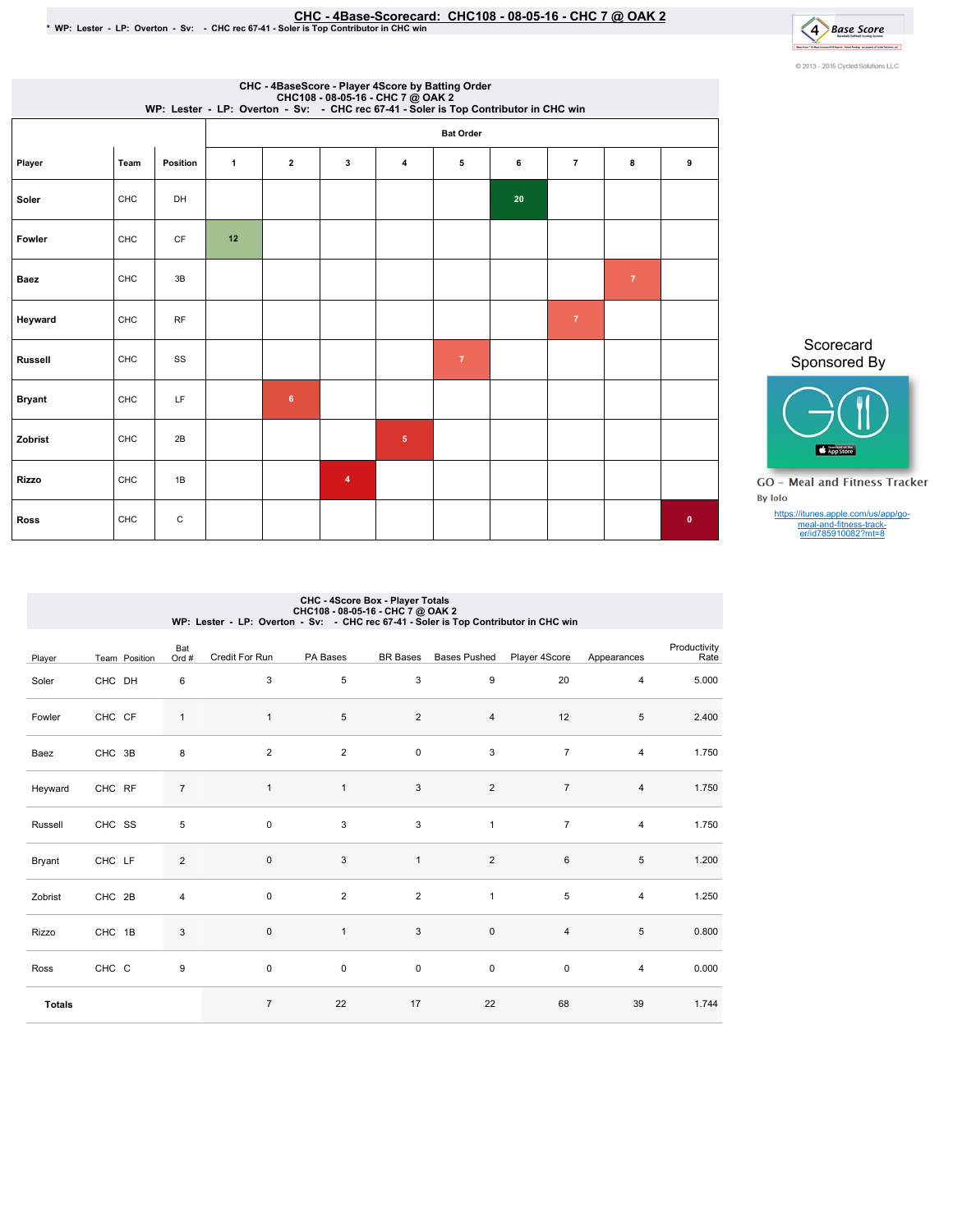### EHC - 4Base-Scorecard: CHC108 - 08-05-16 - CHC 7 @ OAK 2 هـ CHC - 4Base-Scorecard: CHC108 - 08-05-16 - CHC 7 & OAK 2<br>\* WP: Lester - LP: Overton - Sv: - CHC rec 67-41 - Soler is Top Contributor in CHC win



|                |      |             |              |                  | CHC - 4BaseScore - Player 4Score by Batting Order<br>CHC108 - 08-05-16 - CHC 7 @ OAK 2<br>WP: Lester - LP: Overton - Sv: - CHC rec 67-41 - Soler is Top Contributor in CHC win |                |              |    |                |                  |           |  |  |
|----------------|------|-------------|--------------|------------------|--------------------------------------------------------------------------------------------------------------------------------------------------------------------------------|----------------|--------------|----|----------------|------------------|-----------|--|--|
|                |      |             |              | <b>Bat Order</b> |                                                                                                                                                                                |                |              |    |                |                  |           |  |  |
| Player         | Team | Position    | $\mathbf{1}$ | $\mathbf{2}$     | 3                                                                                                                                                                              | 4              | 5            | 6  | $\overline{7}$ | 8                | 9         |  |  |
| Soler          | CHC  | DH          |              |                  |                                                                                                                                                                                |                |              | 20 |                |                  |           |  |  |
| Fowler         | CHC  | <b>CF</b>   | 12           |                  |                                                                                                                                                                                |                |              |    |                |                  |           |  |  |
| <b>Baez</b>    | CHC  | 3B          |              |                  |                                                                                                                                                                                |                |              |    |                | $\boldsymbol{7}$ |           |  |  |
| Heyward        | CHC  | <b>RF</b>   |              |                  |                                                                                                                                                                                |                |              |    | $\mathbf{7}$   |                  |           |  |  |
| <b>Russell</b> | CHC  | SS          |              |                  |                                                                                                                                                                                |                | $\mathbf{7}$ |    |                |                  |           |  |  |
| <b>Bryant</b>  | CHC  | LF          |              | $6\phantom{1}$   |                                                                                                                                                                                |                |              |    |                |                  |           |  |  |
| Zobrist        | CHC  | 2B          |              |                  |                                                                                                                                                                                | $\overline{5}$ |              |    |                |                  |           |  |  |
| <b>Rizzo</b>   | CHC  | 1B          |              |                  | $\overline{\mathbf{4}}$                                                                                                                                                        |                |              |    |                |                  |           |  |  |
| <b>Ross</b>    | CHC  | $\mathbf C$ |              |                  |                                                                                                                                                                                |                |              |    |                |                  | $\pmb{0}$ |  |  |

Sponsored By

App Store

Scorecard

**GO** - Meal and Fitness Tracker By Iolo

https://itunes.apple.com/us/app/go-meal-and-fitness-track-er/id785910082?mt=8

# CHC - 4Score Box - Player Totals<br>CHC108 - 08-05-16 - ORCT @ OAK 2<br>WP: Lester - LP: Overton - Sv: - CHC rec 67-41 - Soler is Top Contributor in CHC win

| Player        |        | Team Position | Bat<br>Ord #   | Credit For Run | PA Bases       | BR Bases       | <b>Bases Pushed</b> | Player 4Score  | Appearances    | Productivity<br>Rate |
|---------------|--------|---------------|----------------|----------------|----------------|----------------|---------------------|----------------|----------------|----------------------|
| Soler         | CHC DH |               | 6              | 3              | 5              | 3              | 9                   | 20             | 4              | 5.000                |
| Fowler        | CHC CF |               | $\overline{1}$ | $\mathbf{1}$   | 5              | 2              | $\overline{4}$      | 12             | $\,$ 5 $\,$    | 2.400                |
| Baez          | CHC 3B |               | 8              | $\overline{2}$ | $\overline{2}$ | $\pmb{0}$      | 3                   | $\overline{7}$ | $\overline{4}$ | 1.750                |
| Heyward       | CHC RF |               | $\overline{7}$ | $\mathbf{1}$   | $\mathbf{1}$   | 3              | $\overline{2}$      | $\overline{7}$ | $\overline{4}$ | 1.750                |
| Russell       | CHC SS |               | $\sqrt{5}$     | $\mathbf 0$    | 3              | 3              | $\mathbf{1}$        | $\overline{7}$ | $\overline{4}$ | 1.750                |
| Bryant        | CHC LF |               | $\overline{2}$ | $\mathbf 0$    | 3              | $\mathbf{1}$   | $\overline{2}$      | 6              | $\,$ 5 $\,$    | 1.200                |
| Zobrist       | CHC 2B |               | $\overline{4}$ | $\pmb{0}$      | $\overline{2}$ | $\overline{c}$ | $\mathbf{1}$        | 5              | $\overline{4}$ | 1.250                |
| Rizzo         | CHC 1B |               | $\sqrt{3}$     | $\mathbf 0$    | $\mathbf{1}$   | 3              | $\mathsf 0$         | $\sqrt{4}$     | $\,$ 5 $\,$    | 0.800                |
| Ross          | CHC C  |               | 9              | 0              | $\mathbf 0$    | 0              | $\pmb{0}$           | $\pmb{0}$      | $\overline{4}$ | 0.000                |
| <b>Totals</b> |        |               |                | $\overline{7}$ | 22             | 17             | 22                  | 68             | 39             | 1.744                |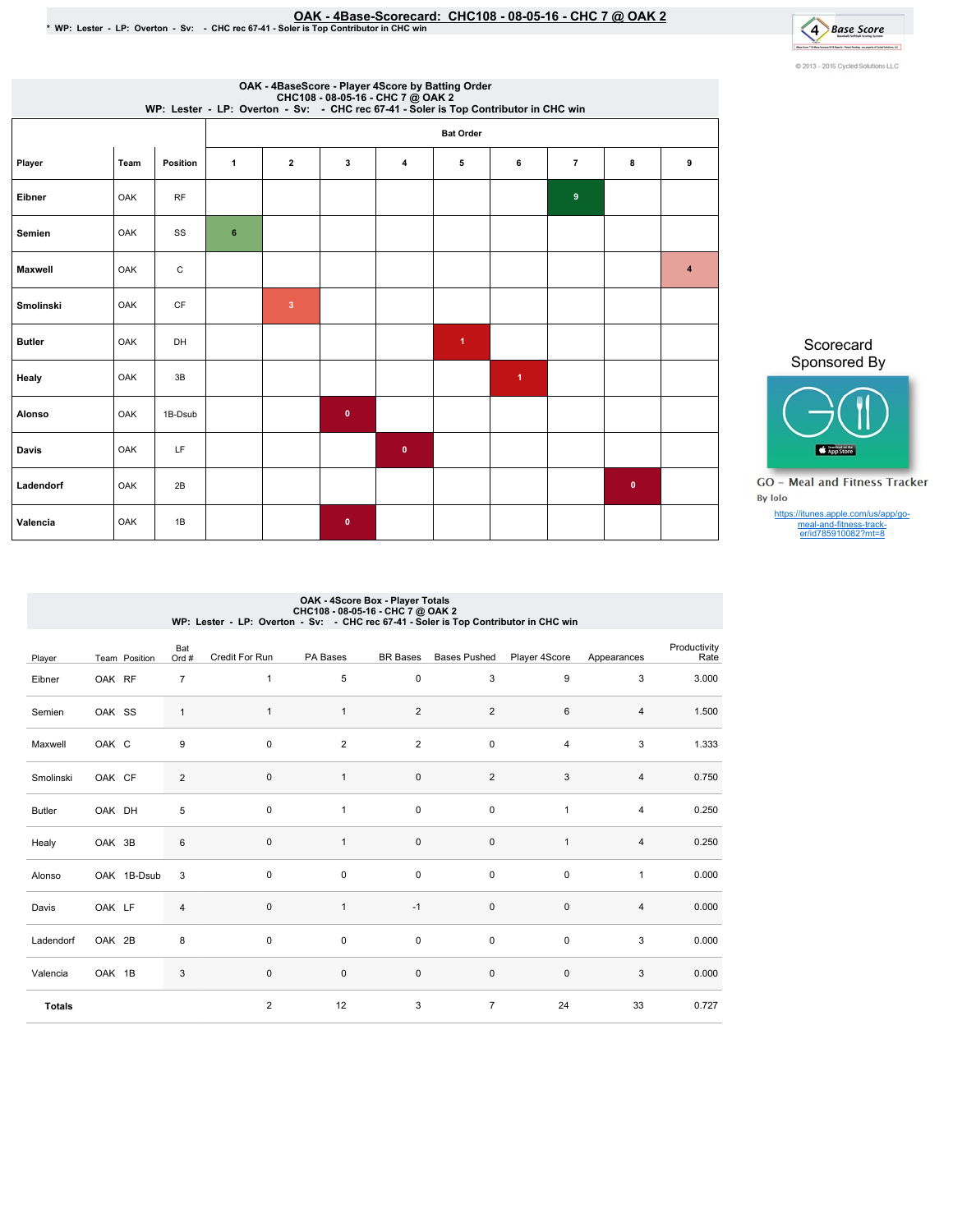### ©AK - 4Base-Scorecard: CHC108 - 08-05-16 - CHC 7 @ OAK 2<br>\* WP: Lester - LP: Overton - Sv: - CHC rec 67-41 - Soler is Top Contributor in CHC win



|                  |      |          |              |                  |           |             | OAK - 4BaseScore - Player 4Score by Batting Order<br>CHC108 - 08-05-16 - CHC 7 @ OAK 2<br>WP: Lester - LP: Overton - Sv: - CHC rec 67-41 - Soler is Top Contributor in CHC win |                      |                |           |   |  |  |
|------------------|------|----------|--------------|------------------|-----------|-------------|--------------------------------------------------------------------------------------------------------------------------------------------------------------------------------|----------------------|----------------|-----------|---|--|--|
|                  |      |          |              | <b>Bat Order</b> |           |             |                                                                                                                                                                                |                      |                |           |   |  |  |
| Player           | Team | Position | $\mathbf{1}$ | $\mathbf{2}$     | 3         | 4           | 5                                                                                                                                                                              | 6                    | $\overline{7}$ | 8         | 9 |  |  |
| Eibner           | OAK  | RF       |              |                  |           |             |                                                                                                                                                                                |                      | 9              |           |   |  |  |
| Semien           | OAK  | SS       | $\bf 6$      |                  |           |             |                                                                                                                                                                                |                      |                |           |   |  |  |
| <b>Maxwell</b>   | OAK  | C        |              |                  |           |             |                                                                                                                                                                                |                      |                |           | 4 |  |  |
| <b>Smolinski</b> | OAK  | CF       |              | $\overline{3}$   |           |             |                                                                                                                                                                                |                      |                |           |   |  |  |
| <b>Butler</b>    | OAK  | DH       |              |                  |           |             | $\mathbf{1}$                                                                                                                                                                   |                      |                |           |   |  |  |
| Healy            | OAK  | 3B       |              |                  |           |             |                                                                                                                                                                                | $\blacktriangleleft$ |                |           |   |  |  |
| Alonso           | OAK  | 1B-Dsub  |              |                  | $\pmb{0}$ |             |                                                                                                                                                                                |                      |                |           |   |  |  |
| Davis            | OAK  | LF       |              |                  |           | $\mathbf 0$ |                                                                                                                                                                                |                      |                |           |   |  |  |
| Ladendorf        | OAK  | 2B       |              |                  |           |             |                                                                                                                                                                                |                      |                | $\bullet$ |   |  |  |
| Valencia         | OAK  | 1B       |              |                  | $\bullet$ |             |                                                                                                                                                                                |                      |                |           |   |  |  |





**GO** - Meal and Fitness Tracker By Iolo

https://itunes.apple.com/us/app/go-meal-and-fitness-track-er/id785910082?mt=8

# OAK - 4Score Box - Player Totals<br>CHC 7 @ ORIC108 - 08-05-16 - CHC 0AK 2<br>WP: Lester - LP: Overton - Sv: - CHC rec 67-41 - Soler is Top Contributor in CHC win

| Player        |        | Team Position | Bat<br>Ord #   | Credit For Run | PA Bases       | <b>BR</b> Bases | <b>Bases Pushed</b> | Player 4Score | Appearances    | Productivity<br>Rate |
|---------------|--------|---------------|----------------|----------------|----------------|-----------------|---------------------|---------------|----------------|----------------------|
| Eibner        | OAK RF |               | $\overline{7}$ | $\mathbf{1}$   | 5              | 0               | 3                   | 9             | 3              | 3.000                |
| Semien        | OAK SS |               | $\mathbf{1}$   | $\mathbf{1}$   | $\mathbf{1}$   | $\overline{c}$  | $\overline{c}$      | 6             | $\overline{4}$ | 1.500                |
| Maxwell       | OAK C  |               | 9              | $\mathbf 0$    | $\overline{2}$ | $\overline{2}$  | 0                   | 4             | 3              | 1.333                |
| Smolinski     | OAK CF |               | $\sqrt{2}$     | $\mathsf 0$    | $\mathbf{1}$   | $\pmb{0}$       | $\overline{2}$      | 3             | $\overline{4}$ | 0.750                |
| <b>Butler</b> | OAK DH |               | 5              | $\mathbf 0$    | $\mathbf{1}$   | $\mathsf 0$     | $\pmb{0}$           | $\mathbf{1}$  | $\overline{4}$ | 0.250                |
| Healy         | OAK 3B |               | 6              | $\mathbf 0$    | $\mathbf{1}$   | $\pmb{0}$       | $\pmb{0}$           | $\mathbf{1}$  | $\overline{4}$ | 0.250                |
| Alonso        |        | OAK 1B-Dsub   | 3              | $\mathbf 0$    | $\pmb{0}$      | $\pmb{0}$       | 0                   | $\mathsf 0$   | $\mathbf{1}$   | 0.000                |
| Davis         | OAK LF |               | 4              | $\mathsf 0$    | $\mathbf{1}$   | $-1$            | $\pmb{0}$           | $\pmb{0}$     | $\sqrt{4}$     | 0.000                |
| Ladendorf     | OAK 2B |               | 8              | $\mathbf 0$    | $\pmb{0}$      | 0               | $\pmb{0}$           | $\pmb{0}$     | 3              | 0.000                |
| Valencia      | OAK 1B |               | $\sqrt{3}$     | $\mathbf 0$    | $\pmb{0}$      | $\pmb{0}$       | 0                   | $\mathsf 0$   | 3              | 0.000                |
| <b>Totals</b> |        |               |                | $\overline{2}$ | 12             | 3               | $\overline{7}$      | 24            | 33             | 0.727                |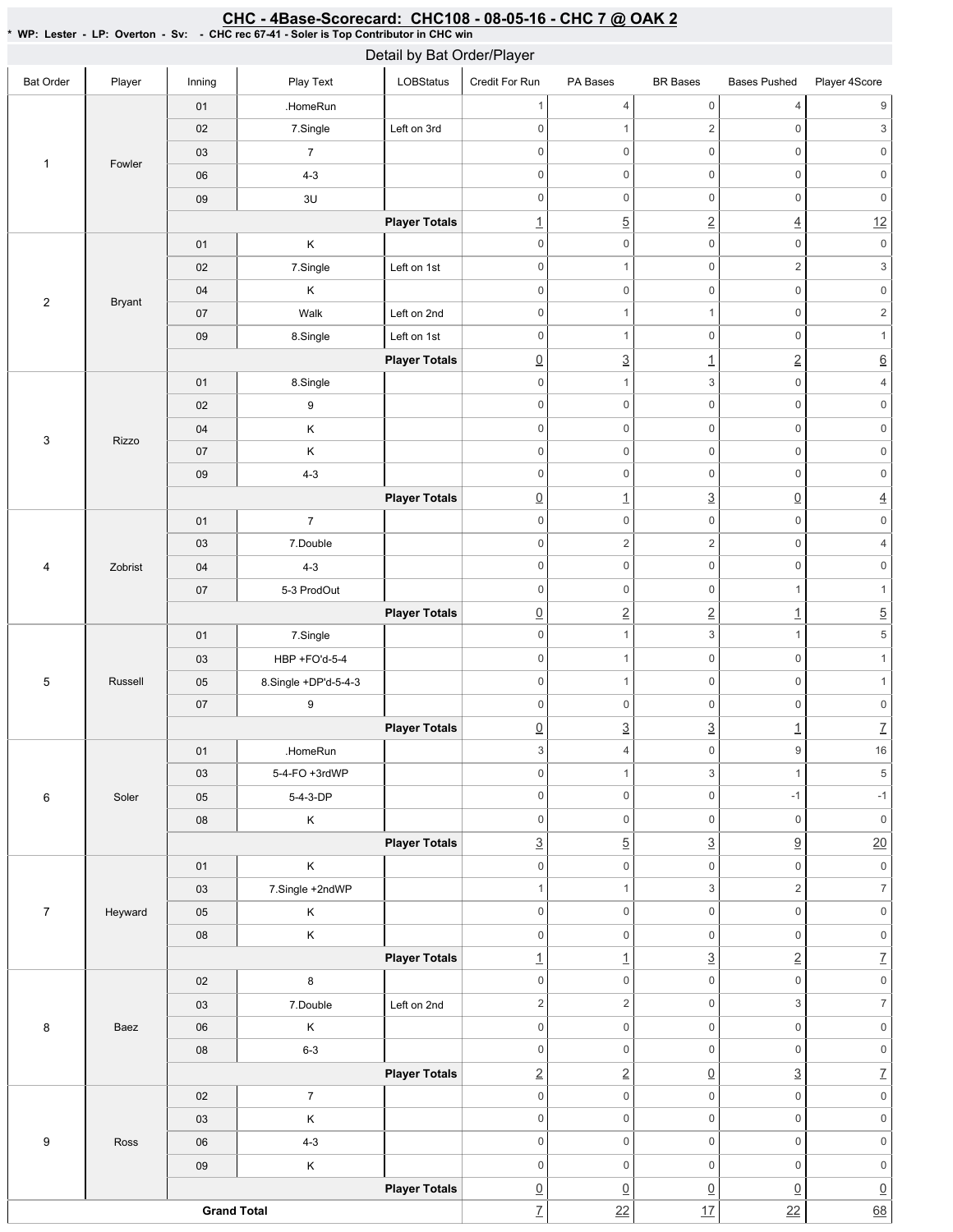#### Bat Order | Player | Inning | PlayText | LOBStatus Credit For Run PA Bases BR Bases Bases Pushed Player 4Score 1 **Fowler** 01 | .HomeRun 02 | 7.Single | Left on 3rd 03 7 06 4-3 09 3U **Player Totals** 2 Bryant 01 K 02 | 7.Single | Left on 1st 04 K 07 | Walk Left on 2nd 09 8.Single Left on 1st **Player Totals** 3 Rizzo 01 8.Single 02 9 04 K 07 K 09 4-3 **Player Totals** 4 Zobrist 01 7 03 7.Double 04 4-3 07 5-3 ProdOut **Player Totals** 5 Russell 01 | 7.Single 03 HBP + FO'd-5-4 05 8.Single +DP'd-5-4-3 07 9 **Player Totals** 6 Soler 01 .HomeRun 03 5-4-FO+3rdWP 05 5-4-3-DP 08 | K **Player Totals** 7 Heyward 01 | K 03 7.Single +2ndWP 05 K 08 K **Player Totals** 8 Baez 02 8 03 | 7.Double | Left on 2nd 06 K 08 6-3 **Player Totals** 9 Ross 02 7 03 K 06 4-3 09 K **Player Totals Grand Total** 1 4 0 4 9 0 1 2 0 3 0 0 0 0 0 0 0 0 0 0 0 0 0 0 0 0 0 0 1  $\frac{5}{2}$   $\frac{2}{4}$   $\frac{12}{2}$ 0 0 0 0 0 0 0 1 0 2 3 0 0 0 0 0 0 0 1 1 0 2 0 0 1 0 1  $\boxed{0}$   $\boxed{3}$   $\boxed{1}$   $\boxed{2}$   $\boxed{6}$ 0 1 3 0 4 0 0 0 0 0 0 0 0 0 0 0 0 0 0 0 0 0 0 0 0 0 0 0 0 0 1 3 0 4 0 0 0 0 0 0  $0 \qquad \qquad 2 \qquad \qquad 2 \qquad \qquad 0 \qquad \qquad 4$ 0 0 0 0 0 0  $0 \qquad 0 \qquad 0 \qquad 1 \qquad 1$  $\boxed{0}$  2  $\boxed{2}$   $\boxed{1}$   $\boxed{5}$ 0 1 3 1 5 0 0 1 0 1 0 0 1 0 1 0 0 0 0 0 0  $\boxed{0}$   $\boxed{3}$   $\boxed{3}$   $\boxed{1}$   $\boxed{7}$ 3 4 0 9 16 0 1 3 1 5 0 0 -1 -1 0 0 0 0 0 0  $\frac{3}{2}$   $\frac{5}{20}$ 0 0 0 0 0 0 1 1 3 2 7 0 0 0 0 0 0 0 0 0 0 0 0  $\frac{1}{2}$   $\frac{1}{2}$   $\frac{3}{2}$   $\frac{2}{2}$   $\frac{7}{2}$ 0 0 0 0 0 0 2 2 0 3  $7$ 0 0 0 0 0 0 0 0 0 0 0 0 2 2 0 3 7 0 0 0 0 0 0 0 0 0 0 0 0 0 0 0 0 0 0 0 0 0 0 0 0 0 0 0 0 0 <u>7</u> 22 22 68 Detail by Bat Order/Player

### <u>CHC - 4Base-Scorecard: CHC108 - 08-05-16 - CHC 7 @ OAK 2</u>

\*WP:Lester-LP:Overton-Sv: -CHCrec67-41-SolerisTopContributorinCHCwin